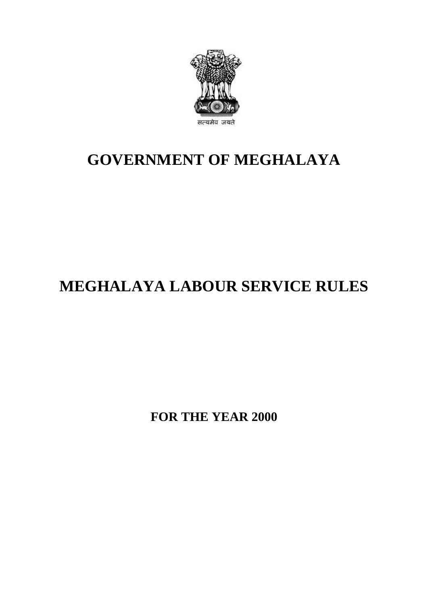

## **GOVERNMENT OF MEGHALAYA**

# **MEGHALAYA LABOUR SERVICE RULES**

**FOR THE YEAR 2000**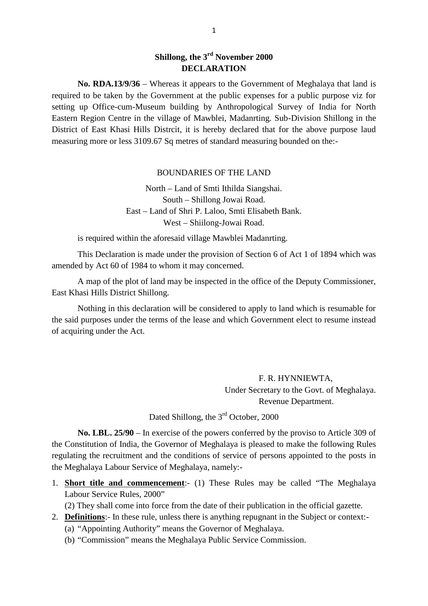### **Shillong, the 3rd November 2000 DECLARATION**

**No. RDA.13/9/36** – Whereas it appears to the Government of Meghalaya that land is required to be taken by the Government at the public expenses for a public purpose viz for **Shillong, the 3<sup>rd</sup> November 2000**<br>**DECLARATION**<br>**No. RDA.13/9/36** – Whereas it appears to the Government of Meghalaya that land is<br>required to be taken by the Government at the public expenses for a public purpose viz fo Eastern Region Centre in the village of Mawblei, Madanrting. Sub-Division Shillong in the No. RDA.13/9/36 – Whereas it appears to the Government of Meghalaya that land is<br>required to be taken by the Government at the public expenses for a public purpose viz for<br>setting up Office-cum-Museum building by Anthropol measuring more or less 3109.67 Sq metres of standard measuring bounded on the:-

### BOUNDARIES OF THE LAND

North – Land of Smti Ithilda Siangshai. South – Shillong Jowai Road. BOUNDARIES OF THE LAND<br>North – Land of Smti Ithilda Siangshai.<br>South – Shillong Jowai Road.<br>East – Land of Shri P. Laloo, Smti Elisabeth Bank.<br>West – Shiilong-Jowai Road. West – Shiilong-Jowai Road. East – Land of Shri P. Laloo, Smti Elisabeth Bank.<br>West – Shiilong-Jowai Road.<br>is required within the aforesaid village Mawblei Madanrting.

This Declaration is made under the provision of Section 6 of Act 1 of 1894 which was amended by Act 60 of 1984 to whom it may concerned.

A map of the plot of land may be inspected in the office of the Deputy Commissioner, Is required whill the afforesand<br>This Declaration is made under<br>amended by Act 60 of 1984 to whom i<br>A map of the plot of land may<br>East Khasi Hills District Shillong.<br>Nothing in this declaration will

Nothing in this declaration will be considered to apply to land which is resumable for the said purposes under the terms of the lease and which Government elect to resume instead of acquiring under the Act.

> F. R. HYNNIEWTA, Under Secretary to the Govt. of Meghalaya. Revenue Department.

Dated Shillong, the 3<sup>rd</sup> October, 2000

**No. LBL. 25/90** – In exercise of the powers conferred by the proviso to Article 309 of the Constitution of India, the Governor of Meghalaya is pleased to make the following Rules regulating the recruitment and the conditions of service of persons appointed to the posts in the Meghalaya Labour Service of Meghalaya, namely:- No. LBL. 25/90 – In exercise of the powers conferred by the proviso to Article 309 of<br>the Constitution of India, the Governor of Meghalaya is pleased to make the following Rules<br>regulating the recruitment and the condition Constitution of India, the Governor constitution of India, the Governor condicting the recruitment and the condi<br>Meghalaya Labour Service of Megha<br>**Short title and commencement**:<br>Labour Service Rules, 2000"<br>(2) They shall

2. **Definitions**: In these rule, unless there is anything repugnant in the Subject or context:-<br>2. **Definitions**: In these rule, unless there is anything repugnant in the Subject or context:-

(2) They shall come into force from the date of their publication in the official gazette.

- - (a) "Appointing Authority" means the Governor of Meghalaya.
	- (b) "Commission" means the Meghalaya Public Service Commission.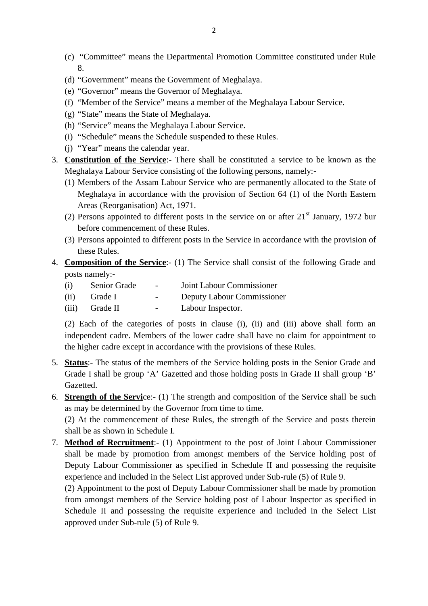- (c) "Committee" means the Departmental Promotion Committee constituted under Rule<br>
8.<br>
(d) "Government" means the Government of Meghalaya.<br>
(e) "Governor" means the Governor of Meghalaya.<br>
(f) "Member of the Service" means 8.
- (d) "Government" means the Government of Meghalaya.
- (e) "Governor" means the Governor of Meghalaya.
- 
- (g) "State" means the State of Meghalaya.
- (h) "Service" means the Meghalaya Labour Service.
- (i) "Schedule" means the Schedule suspended to these Rules.
- (j) "Year" means the calendar year.
- 3. **Constitution of the Service**:- There shall be constituted a service to be known as the Meghalaya Labour Service consisting of the following persons, namely:-
- (i) "Schedule" means the Schedule suspended to these Rules.<br>
(j) "Year" means the calendar year.<br> **Constitution of the Service**:- There shall be constituted a service to be known as the<br>
Meghalaya Labour Service consisting Meghalaya in accordance with the provision of Section 64 (1) of the North Eastern Areas (Reorganisation) Act, 1971. Meghalaya Labour Service consisting of the following persons, namely:<br>
(1) Members of the Assam Labour Service who are permanently allocated to the State of<br>
Meghalaya in accordance with the provision of Section 64 (1) of Meghalaya in accordance with the provision of Section 64 (1) of the North Eastern<br>Areas (Reorganisation) Act, 1971.<br>(2) Persons appointed to different posts in the service on or after 21<sup>st</sup> January, 1972 bur<br>before comme
	- before commencement of these Rules.
	- these Rules.
- 4. **Composition of the Service**:- (1) The Service shall consist of the following Grade and posts namely:posts namely:-
	- (3) Persons appointed to different posts in the Service in accordance<br>these Rules.<br>Composition of the Service:- (1) The Service shall consist of the<br>posts namely:-<br>(i) Senior Grade Joint Labour Commissioner<br>(ii) Grade I The Service Composition of the Service (1) The Service shall consist of the frequency composition and posts namely:<br>
	(i) Grade T - Deputy Labour Commissioner<br>
	(ii) Grade I - Deputy Labour Commissioner<br>
	(iii) Grade II - Lab **Composition of the Service**:- (1) The Service shall consists namely:-<br>
	(i) Senior Grade - Joint Labour Commiss<br>
	(ii) Grade I - Deputy Labour Commiss<br>
	(iii) Grade II - Labour Inspector.<br>
	(2) Each of the categories of posts
- (2) Each of the categories of posts in clause (i), (ii) and (iii) above shall form an independent cadre. Members of the lower cadre shall have no claim for appointment to the higher cadre except in accordance with the provisions of these Rules. 5. **Status**:- The status of the members of the Service holding posts in the Senior Grade and Grade I shall be group 'A' Gazetted and those holding posts in Grade II shall group 'B'
- Gazetted. the higher cadre except in accordance with the provisions of these Rules.<br>
5. **Status**:- The status of the members of the Service holding posts in the Senior Grade and<br>
Grade I shall be group 'A' Gazetted and those holding
- as may be determined by the Governor from time to time. 7. **Strength of the Service:**- (1) The strength and composition of the Service shall be such as may be determined by the Governor from time to time.<br>(2) At the commencement of these Rules, the strength of the Service and p

(2) At the commencement of these Rules, the strength of the Service and posts therein shall be as shown in Schedule I.

shall be made by promotion from amongst members of the Service holding post of Deputy Labour Commissioner as specified in Schedule II and possessing the requisite experience and included in the Select List approved under Sub-rule (5) of Rule 9. **Method of Recruitment**:- (1) Appointment to the post of Joint Labour Commissioner shall be made by promotion from amongst members of the Service holding post of Deputy Labour Commissioner as specified in Schedule II and p shall be made by promotion from amongst members of the Service holding post of Deputy Labour Commissioner as specified in Schedule II and possessing the requisite experience and included in the Select List approved under S

Schedule II and possessing the requisite experience and included in the Select List approved under Sub-rule (5) of Rule 9.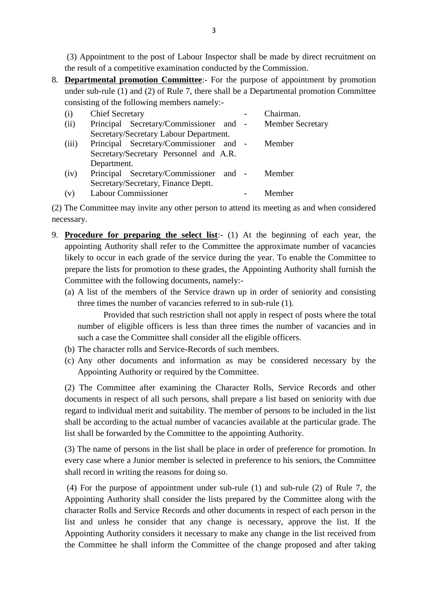(3) Appointment to the post of Labour Inspector shall be made by direct recruitment on the result of a competitive examination conducted by the Commission.

<sup>3</sup><br>
(3) Appointment to the post of Labour Inspector shall be made by direct recruitment on<br>
the result of a competitive examination conducted by the Commission.<br>
8. **<u>Departmental promotion Committee</u>**:- For the purpose o under sub-rule (1) and (2) of Rule 7, there shall be a Departmental promotion Committee consisting of the following members namely: the result of a competitive examination conducted by the Commission.<br> **Departmental promotion Committee**:- For the purpose of appointme<br>
under sub-rule (1) and (2) of Rule 7, there shall be a Departmental prom<br>
consisting **Departmental promotion Committee**:- For the purpose of appointment by promotioner sub-rule (1) and (2) of Rule 7, there shall be a Departmental promotion Comm<br>consisting of the following members namely:-<br>(i) Chief Secreta

|                                              | under sub-rule (1) and (2) of Rule 7, there shall be a Departmental promotion Committee    |  |                         |  |  |  |  |  |  |  |
|----------------------------------------------|--------------------------------------------------------------------------------------------|--|-------------------------|--|--|--|--|--|--|--|
| consisting of the following members namely:- |                                                                                            |  |                         |  |  |  |  |  |  |  |
| (i)                                          | <b>Chief Secretary</b>                                                                     |  | Chairman.               |  |  |  |  |  |  |  |
| (ii)                                         | Principal Secretary/Commissioner and -                                                     |  | <b>Member Secretary</b> |  |  |  |  |  |  |  |
|                                              | Secretary/Secretary Labour Department.                                                     |  |                         |  |  |  |  |  |  |  |
| (iii)                                        | Principal Secretary/Commissioner and -                                                     |  | Member                  |  |  |  |  |  |  |  |
|                                              | Secretary/Secretary Personnel and A.R.                                                     |  |                         |  |  |  |  |  |  |  |
|                                              | Department.                                                                                |  |                         |  |  |  |  |  |  |  |
| (iv)                                         | Principal Secretary/Commissioner and -                                                     |  | Member                  |  |  |  |  |  |  |  |
|                                              | Secretary/Secretary, Finance Deptt.                                                        |  |                         |  |  |  |  |  |  |  |
| (v)                                          | <b>Labour Commissioner</b>                                                                 |  | Member                  |  |  |  |  |  |  |  |
|                                              | (2) The Committee may invite any other person to attend its meeting as and when considered |  |                         |  |  |  |  |  |  |  |
| necessary.                                   |                                                                                            |  |                         |  |  |  |  |  |  |  |
|                                              |                                                                                            |  |                         |  |  |  |  |  |  |  |

- 9. **Procedure for preparing the select list**:- (1) At the beginning of each year, the appointing Authority shall refer to the Committee the approximate number of vacancies The Committee may invite any other person to attend its meeting as and when considered<br>essary.<br>**Procedure for preparing the select list**:- (1) At the beginning of each year, the<br>appointing Authority shall refer to the Comm likely to occur in each grade of the service during the year. To enable the Committee to **Procedure for preparing the select list**:- (1) At the beginning of each year, the appointing Authority shall refer to the Committee the approximate number of vacancies likely to occur in each grade of the service during t **Procedure for preparing the select list**:- (1) At the appointing Authority shall refer to the Committee the aplikely to occur in each grade of the service during the ye prepare the lists for promotion to these grades, the appointing Authority shall refer to the Committee the approximate number of vacancies<br>likely to occur in each grade of the service during the year. To enable the Committee to<br>prepare the lists for promotion to these grades
	- three times the number of vacancies referred to in sub-rule (1).

Provided that such restriction shall not apply in respect of posts where the total number of eligible officers is less than three times the number of vacancies and in such a case the Committee shall consider all the eligible officers. three times the number of vacancies referred to in sub-rule (1).<br>Provided that such restriction shall not apply in respect<br>number of eligible officers is less than three times the numb<br>such a case the Committee shall consi Provided that such restriction shall not apply in respect of posts where the total<br>number of eligible officers is less than three times the number of vacancies and in<br>such a case the Committee shall consider all the eligib

- 
- Appointing Authority or required by the Committee.

(2) The Committee after examining the Character Rolls, Service Records and other (b) The character rolls and Service-Records of such members.<br>
(c) Any other documents and information as may be considered necessary by the<br>
Appointing Authority or required by the Committee.<br>
(2) The Committee after exami regard to individual merit and suitability. The member of persons to be included in the list shall be according to the actual number of vacancies available at the particular grade. The list shall be forwarded by the Committee to the appointing Authority. documents in respect of all such persons, shall prepare a list based on seniority with due<br>regard to individual merit and suitability. The member of persons to be included in the list<br>shall be according to the actual numbe

every case where a Junior member is selected in preference to his seniors, the Committee shall record in writing the reasons for doing so. (3) The name of persons in the list shall be place in order of preference for promotion. In every case where a Junior member is selected in preference to his seniors, the Committee shall record in writing the reasons for

Appointing Authority shall consider the lists prepared by the Committee along with the character Rolls and Service Records and other documents in respect of each person in the list and unless he consider that any change is necessary, approve the list. If the Appointing Authority considers it necessary to make any change in the list received from the Committee he shall inform the Committee of the change proposed and after taking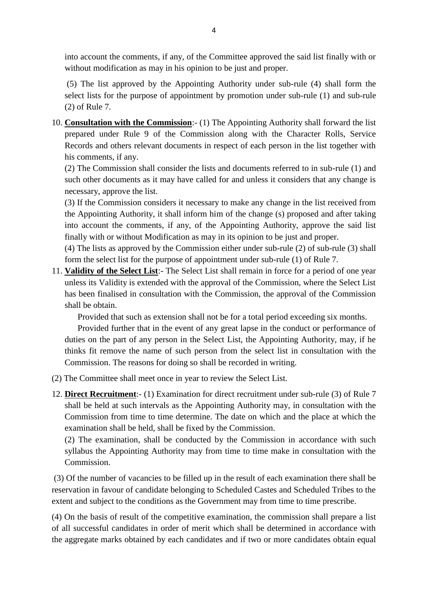into account the comments, if any, of the Committee approved the said list finally with or without modification as may in his opinion to be just and proper.

into account the comments, if any, of the Committee approved the said list finally with or<br>without modification as may in his opinion to be just and proper.<br>(5) The list approved by the Appointing Authority under sub-rule (2) of Rule 7. 10. **Consultation with the Commission**:- (1) The Appointing Authority shall form the select lists for the purpose of appointment by promotion under sub-rule (1) and sub-rule (2) of Rule 7.<br>10. **Consultation with the Commi** 

prepared under Rule 9 of the Commission along with the Character Rolls, Service Records and others relevant documents in respect of each person in the list together with his comments, if any.

(2) The Commission shall consider the lists and documents referred to in sub-rule (1) and such other documents as it may have called for and unless it considers that any change is necessary, approve the list. (2) The Commission shall consider the lists and documents referred to in sub-rule (1) and<br>such other documents as it may have called for and unless it considers that any change is<br>necessary, approve the list.<br>(3) If the Co

(2) The Commission shall consider the lists and documents referred to in sub-rule (1) and such other documents as it may have called for and unless it considers that any change is necessary, approve the list.<br>(3) If the Co into account the comments, if any, of the Appointing Authority, approve the said list finally with or without Modification as may in the single in the list received the Appointing Authority, it shall inform him of the change (s) proposed and after into account the comments, if any, of the Appointing Authori (3) If the Commission considers it necessary to make any change in the list received from<br>the Appointing Authority, it shall inform him of the change (s) proposed and after taking<br>into account the comments, if any, of the

form the select list for the purpose of appointment under sub-rule (1) of Rule 7. 11. **Validity of the Select List**:- The Select List shall remain in force for a period of one year form the select list for the purpose of appointment under sub-rule (1) of Rule 7.<br>11. **Validity of the Select List**:- The S

unless its Validity is extended with the approval of the Commission, where the Select List has been finalised in consultation with the Commission, the approval of the Commission shall be obtain.

Provided that such as extension shall not be for a total period exceeding six months.

Provided further that in the event of any great lapse in the conduct or performance of duties on the part of any person in the Select List, the Appointing Authority, may, if he thinks fit remove the name of such person from the select list in consultation with the Commission. The reasons for doing so shall be recorded in writing. 12. **Direct Recruitment**:- (1) Examination for direct recruitment under sub-rule (3) of Rule 7 shall be held at such intervals as the Appointing Authority may, in consultation with the  $\frac{1}{2}$ .

- (2) The Committee shall meet once in year to review the Select List.
- shall be held at such intervals as the Appointing Authority may, in consultation with the Commission from time to time determine. The date on which and the place at which the The Committee shall meet once in year to review the Select List.<br> **Direct Recruitment**:- (1) Examination for direct recruitment und<br>
shall be held at such intervals as the Appointing Authority may,<br>
Commission from time to **Direct Recruitment**:- (1) Examination for direct recruitment under sub-rule (3) of Rule 7 shall be held at such intervals as the Appointing Authority may, in consultation with the Commission from time to time determine. T

Commission. examination shall be held, shall be fixed by the Commission.<br>
(2) The examination, shall be conducted by the Commission in accordance with such<br>
syllabus the Appointing Authority may from time to time make in consultation

reservation in favour of candidate belonging to Scheduled Castes and Scheduled Tribes to the extent and subject to the conditions as the Government may from time to time prescribe. (3) Of the number of vacancies to be filled up in the result of each examination there shall be reservation in favour of candidate belonging to Scheduled Castes and Scheduled Tribes to the extent and subject to the conditi

of all successful candidates in order of merit which shall be determined in accordance with the aggregate marks obtained by each candidates and if two or more candidates obtain equal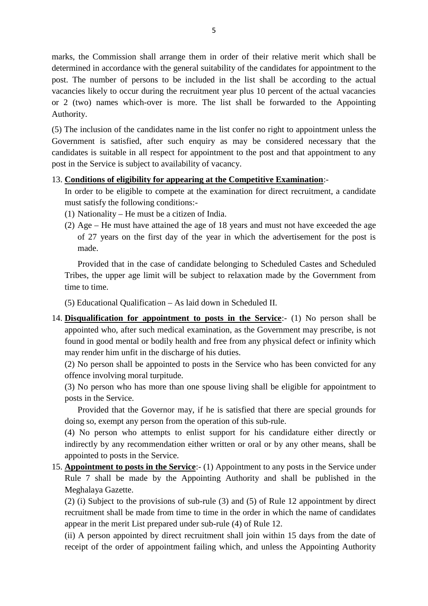marks, the Commission shall arrange them in order of their relative merit which shall be determined in accordance with the general suitability of the candidates for appointment to the post. The number of persons to be included in the list shall be according to the actual vacancies likely to occur during the recruitment year plus 10 percent of the actual vacancies or 2 (two) names which-over is more. The list shall be forwarded to the Appointing Authority. post. The number of persons to be included in the list shall be according to the actual<br>vacancies likely to occur during the recruitment year plus 10 percent of the actual vacancies<br>or 2 (two) names which-over is more. The

Government is satisfied, after such enquiry as may be considered necessary that the candidates is suitable in all respect for appointment to the post and that appointment to any post in the Service is subject to availability of vacancy. 13. The inclusion of the candidates name in the list confer no right to appointment un<br>Government is satisfied, after such enquiry as may be considered necessary t<br>candidates is suitable in all respect for appointment to t In order to be statistied, after such enquiry as may be considered necessary that the didates is suitable in all respect for appointment to the post and that appointment to any t in the Service is subject to availability o

must satisfy the following conditions:- 13. **Conditions of eligibility for appearing at the Competitive Examination**:<br>In order to be eligible to compete at the examination for direct recruitment, a candidate<br>must satisfy the following conditions:-<br>(1) Nationali

- 
- Conditions of eligibility for appearing at the Competitive Examination:<br>In order to be eligible to compete at the examination for direct recruitment, a candidate<br>must satisfy the following conditions:-<br>(1) Nationality He of 27 years on the first day of the year in which the advertisement for the post is made. Nationality – He must be a citizen of India.<br>Age – He must have attained the age of 18 years and must not have exceeded the age<br>of 27 years on the first day of the year in which the advertisement for the post is<br>made.<br>Prov

Tribes, the upper age limit will be subject to relaxation made by the Government from time to time. Provided that in the case of candidate belonging to Scheduled Castes and Scheduled<br>Tribes, the upper age limit will be subject to relaxation made by the Government from<br>time to time.<br>(5) Educational Qualification – As laid

(5) Educational Qualification – As laid down in Scheduled II.

appointed who, after such medical examination, as the Government may prescribe, is not found in good mental or bodily health and free from any physical defect or infinity which may render him unfit in the discharge of his duties. **Disqualification for appointment to posts in the Service**:- (1) No person shall be appointed who, after such medical examination, as the Government may prescribe, is not found in good mental or bodily health and free from

offence involving moral turpitude.

(3) No person who has more than one spouse living shall be eligible for appointment to posts in the Service. (2) No person shall be appointed to posts in the Service who has been convicted for any offence involving moral turpitude.<br>
(3) No person who has more than one spouse living shall be eligible for appointment to posts in th

doing so, exempt any person from the operation of this sub-rule.

(3) No person who has more than one spouse living shall be eligible for appointment to<br>posts in the Service.<br>Provided that the Governor may, if he is satisfied that there are special grounds for<br>doing so, exempt any person indirectly by any recommendation either written or oral or by any other means, shall be appointed to posts in the Service. 15. **Appointment to posts in the Service**: (1) Appointment to any posts in the Service under Rule 7 shall be made by the Appointing Authority and shall be published in the Service.

Rule 7 shall be made by the Appointing Authority and shall be published in the Meghalaya Gazette. (2) appointed to posts in the Service.<br> **Appointment to posts in the Service**:- (1) Appointment to any posts in the Service under<br>
Rule 7 shall be made by the Appointing Authority and shall be published in the<br>
Meghalaya G

recruitment shall be made from time to time in the order in which the name of candidates appear in the merit List prepared under sub-rule (4) of Rule 12. Meghalaya Gazette.<br>
(2) (i) Subject to the provisions of sub-rule (3) and (5) of Rule 12 appointment by direct<br>
recruitment shall be made from time to time in the order in which the name of candidates<br>
appear in the merit

receipt of the order of appointment failing which, and unless the Appointing Authority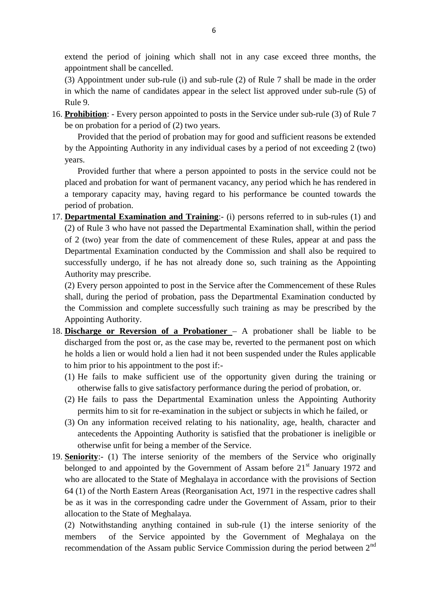extend the period of joining which shall not in any case exceed three months, the appointment shall be cancelled.

(3) Appointment under sub-rule (i) and sub-rule (2) of Rule 7 shall be made in the order extend the period of joining which shall not in any case exceed three months, the appointment shall be cancelled.<br>(3) Appointment under sub-rule (i) and sub-rule (2) of Rule 7 shall be made in the order in which the name o Rule 9. 16. appointment shall be cancelled.<br>
16. Appointment under sub-rule (i) and sub-rule (2) of Rule 7 shall be made in the order<br>
16. approved under sub-rule (5) of<br>
16. **Prohibition**: - Every person appointed to posts in the (3) Appointment under sub-rule (i) and sub-rule<br>in which the name of candidates appear in the se<br>Rule 9.<br>**Probation:** - Every person appointed to posts in<br>be on probation for a period of (2) two years.<br>Provided that the p

Provided that the period of probation may for good and sufficient reasons be extended by the Appointing Authority in any individual cases by a period of not exceeding 2 (two) years.

Provided further that where a person appointed to posts in the service could not be Provided that the period of probation may for good and sufficient reasons be extended<br>by the Appointing Authority in any individual cases by a period of not exceeding 2 (two)<br>years.<br>Provided further that where a person app period of probation. Provided further that where a person appointed to posts in the service could not be placed and probation for want of permanent vacancy, any period which he has rendered in a temporary capacity may, having regard to his per

(2) of Rule 3 who have not passed the Departmental Examination shall, within the period of 2 (two) year from the date of commencement of these Rules, appear at and pass the 17. **Departmental Examination and Training**:- (i) persons referred to in sub-rules (1) and (2) of Rule 3 who have not passed the Departmental Examination shall, within the period of 2 (two) year from the date of commencem successfully undergo, if he has not already done so, such training as the Appointing Authority may prescribe. Departmental Examination conducted by the Commission and shall also be required to successfully undergo, if he has not already done so, such training as the Appointing Authority may prescribe.<br>(2) Every person appointed to

(2) Every person appointed to post in the Service after the Commencement of these Rules Appointing Authority.

- 18. **Discharge or Reversion of a Probationer** A probationer shall be liable to be discharged from the post or, as the case may be, reverted to the permanent post on which he holds a lien or would hold a lien had it not b discharged from the post or, as the case may be, reverted to the permanent post on which he holds a lien or would hold a lien had it not been suspended under the Rules applicable to him prior to his appointment to the post if:- (2) He fails to pass the Departmental Examination unless the Appointing Authority<br>(2) He fails to make sufficient use of the opportunity given during the training or<br>otherwise falls to give satisfactory performance during
	- otherwise falls to give satisfactory performance during the period of probation, or. im prior to his appointment to the post if:-<br>He fails to make sufficient use of the opportunity given during the training or<br>otherwise falls to give satisfactory performance during the period of probation, or.<br>He fails to
	-
- (1) He fails to make sufficient use of the opportunity given during the training or otherwise falls to give satisfactory performance during the period of probation, or.<br>
(2) He fails to pass the Departmental Examination un antecedents the Appointing Authority is satisfied that the probationer is ineligible or (2) He fails to pass the Departmental Examination unless the Appointing Authority<br>permits him to sit for re-examination in the subject or subjects in which he failed, or<br>(3) On any information received relating to his nat permits him to sit for re-examination in the subject or subjects in which he failed, or<br>
(3) On any information received relating to his nationality, age, health, character and<br>
antecedents the Appointing Authority is sati
- antecedents the Appointing Authority is satisfied that the probationer is ineligible or<br>otherwise unfit for being a member of the Service.<br>Seniority:- (1) The interse seniority of the members of the Service who originally 64 (1) of the North Eastern Areas (Reorganisation Act, 1971 in the respective cadres shall be as it was in the corresponding cadre under the Government of Assam, prior to their allocation to the State of Meghalaya. who are allocated to the State of Meghalaya in accordance with the provisions of Section 64 (1) of the North Eastern Areas (Reorganisation Act, 1971 in the respective cadres shall be as it was in the corresponding cadre un

of the Service appointed by the Government of Meghalaya on the recommendation of the Assam public Service Commission during the period between 2nd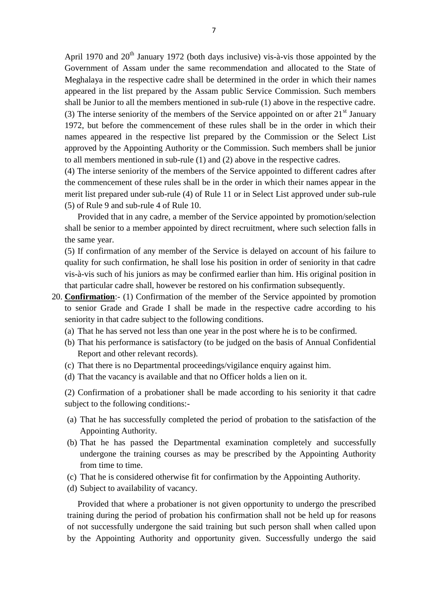April 1970 and  $20<sup>th</sup>$  January 1972 (both days inclusive) vis-à-vis those appointed by the Government of Assam under the same recommendation and allocated to the State of Meghalaya in the respective cadre shall be determined in the order in which their names appeared in the list prepared by the Assam public Service Commission. Such members shall be Junior to all the members mentioned in sub-rule (1) above in the respective cadre. (3) The interse seniority of the members of the Service appointed on or after  $21<sup>st</sup>$  January Meghalaya in the respective cadre shall be determined in the order in which their names appeared in the list prepared by the Assam public Service Commission. Such members shall be Junior to all the members mentioned in su

names appeared in the respective list prepared by the Commission or the Select List approved by the Appointing Authority or the Commission. Such members shall be junior to all members mentioned in sub-rule (1) and (2) above in the respective cadres.

(4) The interse seniority of the members of the Service appointed to different cadres after the commencement of these rules shall be in the order in which their names appear in the approved by the Appointing Authority or the Commission. Such members shall be junior to all members mentioned in sub-rule (1) and (2) above in the respective cadres.<br>(4) The interse seniority of the members of the Service (5) of Rule 9 and sub-rule 4 of Rule 10. the commencement of these rules shall be in the order in which their names appear in the merit list prepared under sub-rule (4) of Rule 11 or in Select List approved under sub-rule (5) of Rule 9 and sub-rule 4 of Rule 10.

Provided that in any cadre, a member of the Service appointed by promotion/selection the same year.

(5) If confirmation of any member of the Service is delayed on account of his failure to quality for such confirmation, he shall lose his position in order of seniority in that cadre vis-à-vis such of his juniors as may be confirmed earlier than him. His original position in that particular cadre shall, howeve Shall be senior to a member appointed by direct recruitment, where such selection falls in<br>the same year.<br>(5) If confirmation of any member of the Service is delayed on account of his failure to<br>quality for such confirmati that particular cadre shall, however be restored on his confirmation subsequently. (5) If confirmation of any member of the Service is delayed on account of his failure to quality for such confirmation, he shall lose his position in order of seniority in that cadre vis-à-vis such of his juniors as may b

- seniority in that cadre subject to the following conditions. that particular cadre shall, however be restored on his confirmation subsequently.<br> **Confirmation**:- (1) Confirmation of the member of the Service appointed by promotion<br>
to senior Grade and Grade I shall be made in the re **Confirmation**:- (1) Confirmation of the member of the Service appointed by promotion to senior Grade and Grade I shall be made in the respective cadre according to his seniority in that cadre subject to the following cond
	-
	- Report and other relevant records). (a) That he has served not less than one year in the post where he is to be confirmed.<br>
	(b) That his performance is satisfactory (to be judged on the basis of Annual Confidential<br>
	Report and other relevant records).<br>
	(c) T
	- (c) That there is no Departmental proceedings/vigilance enquiry against him.
	-

(2) Confirmation of a probationer shall be made according to his seniority it that cadre subject to the following conditions:- (a) That the vacancy is available and that no Officer holds a lien on it.<br>
(b) That the vacancy is available and that no Officer holds a lien on it.<br>
(a) That the following conditions:-<br>
(a) That he has successfully comple

- Appointing Authority.
- (a) That he has successfully completed the period of probation to the satisfaction of the Appointing Authority.<br>
(a) That he has successfully completed the period of probation to the satisfaction of the Appointing Authorit undergone the training courses as may be prescribed by the Appointing Authority from time to time. (b) That he has passed the Departmental examination completely and successfully undergone the training courses as may be prescribed by the Appointing Authority from time to time.<br>(c) That he is considered otherwise fit for (b) That he has passed the Department<br>undergone the training courses as ma<br>from time to time.<br>(c) That he is considered otherwise fit for<br>(d) Subject to availability of vacancy.<br>Provided that where a probationer is no
- 
- 

(c) That he is considered otherwise fit for confirmation by the Appointing Authority.<br>
(d) Subject to availability of vacancy.<br>
Provided that where a probationer is not given opportunity to undergo the prescribed<br>
training training during the period of probation his confirmation shall not be held up for reasons (c) That he is considered otherwise fit for confirmation by the Appointing Authority.<br>
(d) Subject to availability of vacancy.<br>
Provided that where a probationer is not given opportunity to undergo the prescribed<br>
training (d) Subject to availability of vacancy.<br>
Provided that where a probationer is not given opportunity to undergo the prescribed<br>
training during the period of probation his confirmation shall not be held up for reasons<br>
of n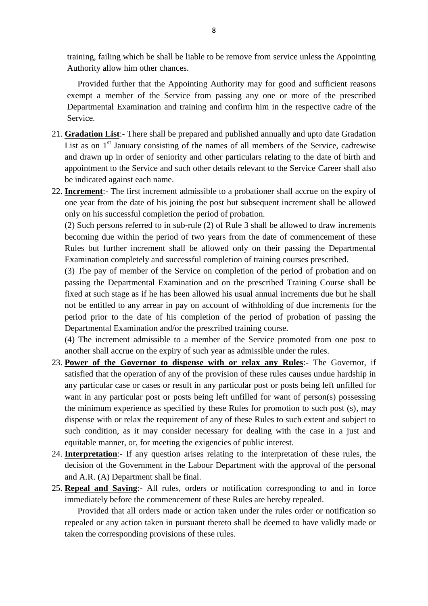training, failing which be shall be liable to be remove from service unless the Appointing Authority allow him other chances.

Provided further that the Appointing Authority may for good and sufficient reasons exempt a member of the Service from passing any one or more of the prescribed Departmental Examination and training and confirm him in the respective cadre of the Service. Provided further that the Appointing Authority may for good and sufficient reasons<br>exempt a member of the Service from passing any one or more of the prescribed<br>Departmental Examination and training and confirm him in the

- and drawn up in order of seniority and other particulars relating to the date of birth and Service.<br> **Gradation List**:- There shall be prepared and published annually and upto date Gradation<br>
List as on 1<sup>st</sup> January consisting of the names of all members of the Service, cadrewise<br>
and drawn up in order of senio be indicated against each name. List as on 1<sup>st</sup> January consisting of the names of all members of the Service, cadrewise<br>and drawn up in order of seniority and other particulars relating to the date of birth and<br>appointment to the Service and such other and drawn up in order of seniority and other particulars relating to the date of birth and<br>appointment to the Service and such other details relevant to the Service Career shall also<br>be indicated against each name.<br>**Increm**
- only on his successful completion the period of probation. (2) Desiral interaction and almost persons referred to in sub-rule of Nuslandshall accrue on the expiry of one year from the date of his joining the post but subsequent increment shall be allowed only on his successful com

**Increment**:- The first increment admissible to a probationer shall accrue on the expiry of one year from the date of his joining the post but subsequent increment shall be allowed only on his successful completion the per Rules but further increment shall be allowed only on their passing the Departmental Examination completely and successful completion of training courses prescribed.

(3) The pay of member of the Service on completion of the period of probation and on passing the Departmental Examination and on the prescribed Training Course shall be Rules but further increment shall be allowed only on their passing the Departmental Examination completely and successful completion of training courses prescribed.<br>(3) The pay of member of the Service on completion of the not be entitled to any arrear in pay on account of withholding of due increments for the period prior to the date of his completion of the period of probation of passing the Departmental Examination and/or the prescribed training course.

(4) The increment admissible to a member of the Service promoted from one post to another shall accrue on the expiry of such year as admissible under the rules.

- period prior to the date of his completion of the period of probation of passing the<br>Departmental Examination and/or the prescribed training course.<br>(4) The increment admissible to a member of the Service promoted from one Departmental Examination and/or the prescribed training course.<br>
(4) The increment admissible to a member of the Service promoted from one post to<br>
another shall accrue on the expiry of such year as admissible under the ru any particular case or cases or result in any particular post or posts being left unfilled for want in any particular post or posts being left unfilled for want of person(s) possessing the minimum experience as specified by these Rules for promotion to such post (s), may dispense with or relax the requirement of any of these Rules to such extent and subject to such condition, as it may consider necessary dispense with or relax the requirement of any of these Rules to such extent and subject to such condition, as it may consider necessary for dealing with the case in a just and equitable manner, or, for meeting the exigencies of public interest.
- decision of the Government in the Labour Department with the approval of the personal and A.R. (A) Department shall be final. equitable manner, or, for meeting the exigencies of public interest.<br>
24. **Interpretation**:- If any question arises relating to the interpretation of these rules, the<br>
decision of the Government in the Labour Department wi
- immediately before the commencement of these Rules are hereby repealed.

Provided that all orders made or action taken under the rules order or notification so repeal and Saving:- All rules, orders or notification corresponding to and in force<br>immediately before the commencement of these Rules are hereby repealed.<br>Provided that all orders made or action taken under the rules orde taken the corresponding provisions of these rules.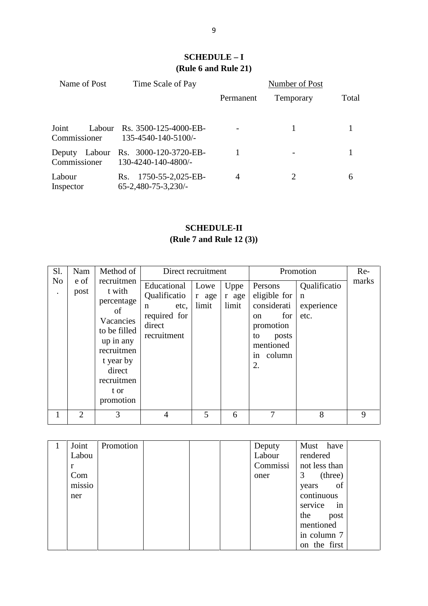### **SCHEDULE – I (Rule 6 and Rule 21)**

| Time Scale of Pay                                      | Number of Post |                                                  |       |  |  |
|--------------------------------------------------------|----------------|--------------------------------------------------|-------|--|--|
|                                                        | Permanent      | Temporary                                        | Total |  |  |
| Rs. 3500-125-4000-EB-<br>Labour<br>135-4540-140-5100/- |                | 1                                                | 1     |  |  |
| Rs. 3000-120-3720-EB-<br>130-4240-140-4800/-           | 1              |                                                  | 1     |  |  |
| Rs. 1750-55-2,025-EB-<br>$65 - 2,480 - 75 - 3,230$     | $\overline{4}$ | 2                                                | 6     |  |  |
|                                                        |                | ∍<br><b>SCHEDULE - I</b><br>(Rule 6 and Rule 21) |       |  |  |

### **SCHEDULE-II (Rule 7 and Rule 12 (3))**

| <b>SCHEDULE-II</b><br>(Rule 7 and Rule 12 (3)) |                     |                                                                                                                                                                         |                                                                                                                   |                        |                        |                                                                                                                            |                                                                |              |  |
|------------------------------------------------|---------------------|-------------------------------------------------------------------------------------------------------------------------------------------------------------------------|-------------------------------------------------------------------------------------------------------------------|------------------------|------------------------|----------------------------------------------------------------------------------------------------------------------------|----------------------------------------------------------------|--------------|--|
| Sl.<br>N <sub>o</sub><br>$\ddot{\phantom{0}}$  | Nam<br>e of<br>post | Method of<br>recruitmen<br>t with<br>percentage<br>of<br>Vacancies<br>to be filled<br>up in any<br>recruitmen<br>t year by<br>direct<br>recruitmen<br>t or<br>promotion | Direct recruitment<br>Educational<br>Qualificatio<br>etc,<br>$\mathbf n$<br>required for<br>direct<br>recruitment | Lowe<br>r age<br>limit | Uppe<br>r age<br>limit | Persons<br>eligible for<br>considerati<br>for<br><sub>on</sub><br>promotion<br>posts<br>to<br>mentioned<br>in column<br>2. | Promotion<br>Qualificatio<br>$\mathbf n$<br>experience<br>etc. | Re-<br>marks |  |
| $\mathbf{1}$                                   | $\overline{2}$      | 3                                                                                                                                                                       | $\overline{4}$                                                                                                    | 5                      | 6                      | $\overline{7}$                                                                                                             | 8                                                              | 9            |  |
| $\mathbf{1}$                                   | Joint<br>Labou      | Promotion                                                                                                                                                               |                                                                                                                   |                        |                        | Deputy<br>Labour                                                                                                           | Must<br>have<br>rendered                                       |              |  |
|                                                |                     |                                                                                                                                                                         |                                                                                                                   |                        |                        |                                                                                                                            | $\sim$ 1                                                       |              |  |

|    |                | promonon  |                |   |   |          |               |   |
|----|----------------|-----------|----------------|---|---|----------|---------------|---|
| 1  | $\overline{2}$ | 3         | $\overline{4}$ | 5 | 6 | 7        | 8             | 9 |
|    |                |           |                |   |   |          |               |   |
| -1 | Joint          | Promotion |                |   |   | Deputy   | Must have     |   |
|    | Labou          |           |                |   |   | Labour   | rendered      |   |
|    | r              |           |                |   |   | Commissi | not less than |   |
|    | Com            |           |                |   |   | oner     | $3$ (three)   |   |
|    | missio         |           |                |   |   |          | years of      |   |
|    | ner            |           |                |   |   |          | continuous    |   |
|    |                |           |                |   |   |          | service in    |   |
|    |                |           |                |   |   |          | the<br>post   |   |
|    |                |           |                |   |   |          | mentioned     |   |
|    |                |           |                |   |   |          | in column 7   |   |
|    |                |           |                |   |   |          | on the first  |   |